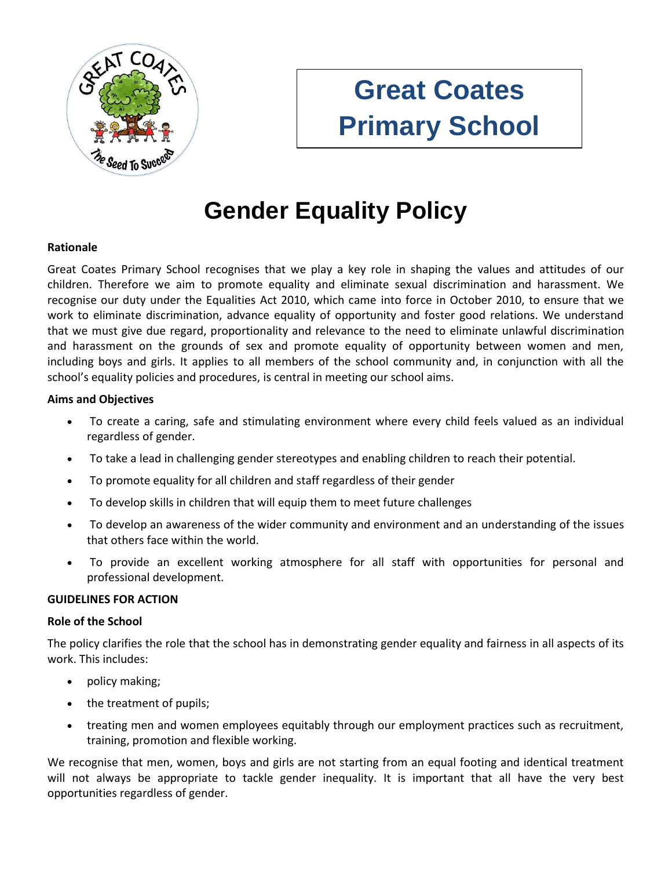

# **Great Coates Primary School**

# **Gender Equality Policy**

# **Rationale**

Great Coates Primary School recognises that we play a key role in shaping the values and attitudes of our children. Therefore we aim to promote equality and eliminate sexual discrimination and harassment. We recognise our duty under the Equalities Act 2010, which came into force in October 2010, to ensure that we work to eliminate discrimination, advance equality of opportunity and foster good relations. We understand that we must give due regard, proportionality and relevance to the need to eliminate unlawful discrimination and harassment on the grounds of sex and promote equality of opportunity between women and men, including boys and girls. It applies to all members of the school community and, in conjunction with all the school's equality policies and procedures, is central in meeting our school aims.

# **Aims and Objectives**

- To create a caring, safe and stimulating environment where every child feels valued as an individual regardless of gender.
- To take a lead in challenging gender stereotypes and enabling children to reach their potential.
- To promote equality for all children and staff regardless of their gender
- To develop skills in children that will equip them to meet future challenges
- To develop an awareness of the wider community and environment and an understanding of the issues that others face within the world.
- To provide an excellent working atmosphere for all staff with opportunities for personal and professional development.

#### **GUIDELINES FOR ACTION**

#### **Role of the School**

The policy clarifies the role that the school has in demonstrating gender equality and fairness in all aspects of its work. This includes:

- policy making;
- the treatment of pupils;
- treating men and women employees equitably through our employment practices such as recruitment, training, promotion and flexible working.

We recognise that men, women, boys and girls are not starting from an equal footing and identical treatment will not always be appropriate to tackle gender inequality. It is important that all have the very best opportunities regardless of gender.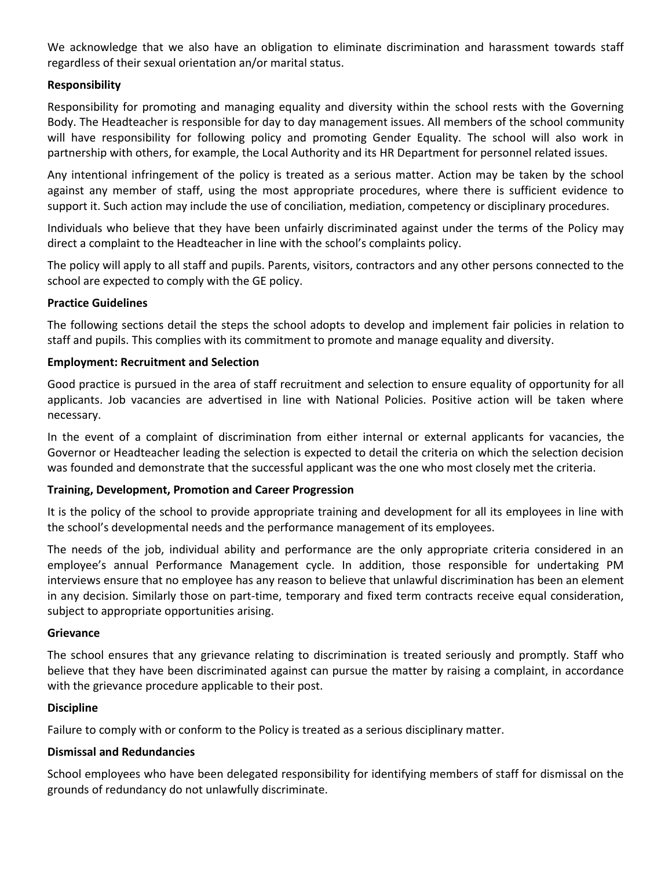We acknowledge that we also have an obligation to eliminate discrimination and harassment towards staff regardless of their sexual orientation an/or marital status.

# **Responsibility**

Responsibility for promoting and managing equality and diversity within the school rests with the Governing Body. The Headteacher is responsible for day to day management issues. All members of the school community will have responsibility for following policy and promoting Gender Equality. The school will also work in partnership with others, for example, the Local Authority and its HR Department for personnel related issues.

Any intentional infringement of the policy is treated as a serious matter. Action may be taken by the school against any member of staff, using the most appropriate procedures, where there is sufficient evidence to support it. Such action may include the use of conciliation, mediation, competency or disciplinary procedures.

Individuals who believe that they have been unfairly discriminated against under the terms of the Policy may direct a complaint to the Headteacher in line with the school's complaints policy.

The policy will apply to all staff and pupils. Parents, visitors, contractors and any other persons connected to the school are expected to comply with the GE policy.

# **Practice Guidelines**

The following sections detail the steps the school adopts to develop and implement fair policies in relation to staff and pupils. This complies with its commitment to promote and manage equality and diversity.

# **Employment: Recruitment and Selection**

Good practice is pursued in the area of staff recruitment and selection to ensure equality of opportunity for all applicants. Job vacancies are advertised in line with National Policies. Positive action will be taken where necessary.

In the event of a complaint of discrimination from either internal or external applicants for vacancies, the Governor or Headteacher leading the selection is expected to detail the criteria on which the selection decision was founded and demonstrate that the successful applicant was the one who most closely met the criteria.

# **Training, Development, Promotion and Career Progression**

It is the policy of the school to provide appropriate training and development for all its employees in line with the school's developmental needs and the performance management of its employees.

The needs of the job, individual ability and performance are the only appropriate criteria considered in an employee's annual Performance Management cycle. In addition, those responsible for undertaking PM interviews ensure that no employee has any reason to believe that unlawful discrimination has been an element in any decision. Similarly those on part-time, temporary and fixed term contracts receive equal consideration, subject to appropriate opportunities arising.

#### **Grievance**

The school ensures that any grievance relating to discrimination is treated seriously and promptly. Staff who believe that they have been discriminated against can pursue the matter by raising a complaint, in accordance with the grievance procedure applicable to their post.

# **Discipline**

Failure to comply with or conform to the Policy is treated as a serious disciplinary matter.

# **Dismissal and Redundancies**

School employees who have been delegated responsibility for identifying members of staff for dismissal on the grounds of redundancy do not unlawfully discriminate.